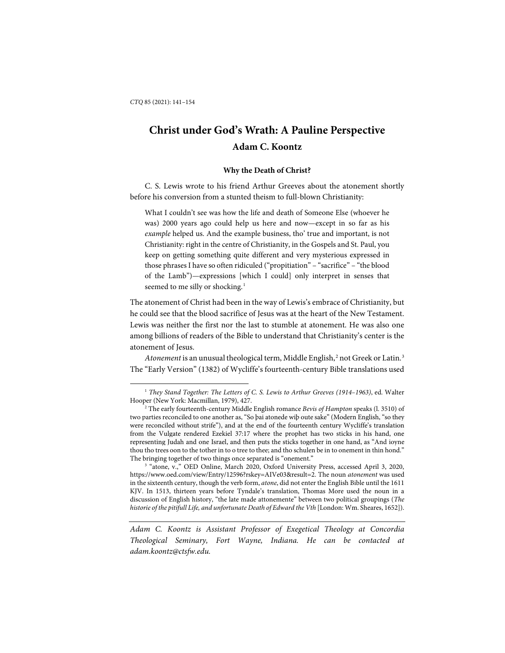l

# **Christ under God's Wrath: A Pauline Perspective Adam C. Koontz**

#### **Why the Death of Christ?**

C. S. Lewis wrote to his friend Arthur Greeves about the atonement shortly before his conversion from a stunted theism to full-blown Christianity:

What I couldn't see was how the life and death of Someone Else (whoever he was) 2000 years ago could help us here and now—except in so far as his *example* helped us. And the example business, tho' true and important, is not Christianity: right in the centre of Christianity, in the Gospels and St. Paul, you keep on getting something quite different and very mysterious expressed in those phrases I have so often ridiculed ("propitiation" – "sacrifice" – "the blood of the Lamb")—expressions [which I could] only interpret in senses that seemed to me silly or shocking.<sup>[1](#page-0-0)</sup>

The atonement of Christ had been in the way of Lewis's embrace of Christianity, but he could see that the blood sacrifice of Jesus was at the heart of the New Testament. Lewis was neither the first nor the last to stumble at atonement. He was also one among billions of readers of the Bible to understand that Christianity's center is the atonement of Jesus.

Atonement is an unusual theological term, Middle English,<sup>[2](#page-0-1)</sup> not Greek or Latin.<sup>[3](#page-0-2)</sup> The "Early Version" (1382) of Wycliffe's fourteenth-century Bible translations used

<span id="page-0-2"></span><sup>3</sup> "atone, v.," OED Online, March 2020, Oxford University Press, accessed April 3, 2020, https://www.oed.com/view/Entry/12596?rskey=AIVe03&result=2. The noun *atonement* was used in the sixteenth century, though the verb form, *atone*, did not enter the English Bible until the 1611 KJV. In 1513, thirteen years before Tyndale's translation, Thomas More used the noun in a discussion of English history, "the late made attonemente" between two political groupings (*The historie of the pitifull Life, and unfortunate Death of Edward the Vth* [London: Wm. Sheares, 1652]).

*Adam C. Koontz is Assistant Professor of Exegetical Theology at Concordia Theological Seminary, Fort Wayne, Indiana. He can be contacted at adam.koontz@ctsfw.edu.*

<span id="page-0-0"></span><sup>1</sup> *They Stand Together: The Letters of C. S. Lewis to Arthur Greeves (1914–1963)*, ed. Walter Hooper (New York: Macmillan, 1979), 427.

<span id="page-0-1"></span><sup>2</sup> The early fourteenth-century Middle English romance *Bevis of Hampton* speaks (l. 3510) of two parties reconciled to one another as, "So þai atonede wiþ oute sake" (Modern English, "so they were reconciled without strife"), and at the end of the fourteenth century Wycliffe's translation from the Vulgate rendered Ezekiel 37:17 where the prophet has two sticks in his hand, one representing Judah and one Israel, and then puts the sticks together in one hand, as "And ioyne thou tho trees oon to the tother in to o tree to thee; and tho schulen be in to onement in thin hond." The bringing together of two things once separated is "onement."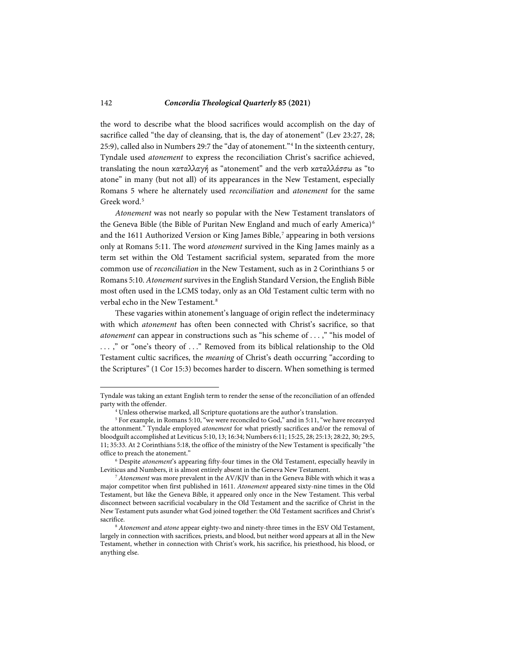the word to describe what the blood sacrifices would accomplish on the day of sacrifice called "the day of cleansing, that is, the day of atonement" (Lev 23:27, 28; 25:9), called also in Numbers 29:7 the "day of atonement."[4](#page-1-0) In the sixteenth century, Tyndale used *atonement* to express the reconciliation Christ's sacrifice achieved, translating the noun καταλλαγή as "atonement" and the verb καταλλάσσω as "to atone" in many (but not all) of its appearances in the New Testament, especially Romans 5 where he alternately used *reconciliation* and *atonement* for the same Greek word.<sup>[5](#page-1-1)</sup>

*Atonement* was not nearly so popular with the New Testament translators of the Geneva Bible (the Bible of Puritan New England and much of early America) [6](#page-1-2) and the 1611 Authorized Version or King James Bible,<sup>[7](#page-1-3)</sup> appearing in both versions only at Romans 5:11. The word *atonement* survived in the King James mainly as a term set within the Old Testament sacrificial system, separated from the more common use of *reconciliation* in the New Testament, such as in 2 Corinthians 5 or Romans 5:10. *Atonement* survives in the English Standard Version, the English Bible most often used in the LCMS today, only as an Old Testament cultic term with no verbal echo in the New Testament.<sup>[8](#page-1-4)</sup>

These vagaries within atonement's language of origin reflect the indeterminacy with which *atonement* has often been connected with Christ's sacrifice, so that *atonement* can appear in constructions such as "his scheme of . . . ," "his model of . . . ," or "one's theory of . . ." Removed from its biblical relationship to the Old Testament cultic sacrifices, the *meaning* of Christ's death occurring "according to the Scriptures" (1 Cor 15:3) becomes harder to discern. When something is termed

Tyndale was taking an extant English term to render the sense of the reconciliation of an offended party with the offender.

<sup>4</sup> Unless otherwise marked, all Scripture quotations are the author's translation.

<span id="page-1-1"></span><span id="page-1-0"></span><sup>&</sup>lt;sup>5</sup> For example, in Romans 5:10, "we were reconciled to God," and in 5:11, "we have receavyed the attonment." Tyndale employed *atonement* for what priestly sacrifices and/or the removal of bloodguilt accomplished at Leviticus 5:10, 13; 16:34; Numbers 6:11; 15:25, 28; 25:13; 28:22, 30; 29:5, 11; 35:33. At 2 Corinthians 5:18, the office of the ministry of the New Testament is specifically "the office to preach the atonement."

<span id="page-1-2"></span><sup>6</sup> Despite *atonement*'s appearing fifty-four times in the Old Testament, especially heavily in Leviticus and Numbers, it is almost entirely absent in the Geneva New Testament.

<span id="page-1-3"></span><sup>7</sup> *Atonement* was more prevalent in the AV/KJV than in the Geneva Bible with which it was a major competitor when first published in 1611. *Atonement* appeared sixty-nine times in the Old Testament, but like the Geneva Bible, it appeared only once in the New Testament. This verbal disconnect between sacrificial vocabulary in the Old Testament and the sacrifice of Christ in the New Testament puts asunder what God joined together: the Old Testament sacrifices and Christ's sacrifice.

<span id="page-1-4"></span><sup>8</sup> *Atonement* and *atone* appear eighty-two and ninety-three times in the ESV Old Testament, largely in connection with sacrifices, priests, and blood, but neither word appears at all in the New Testament, whether in connection with Christ's work, his sacrifice, his priesthood, his blood, or anything else.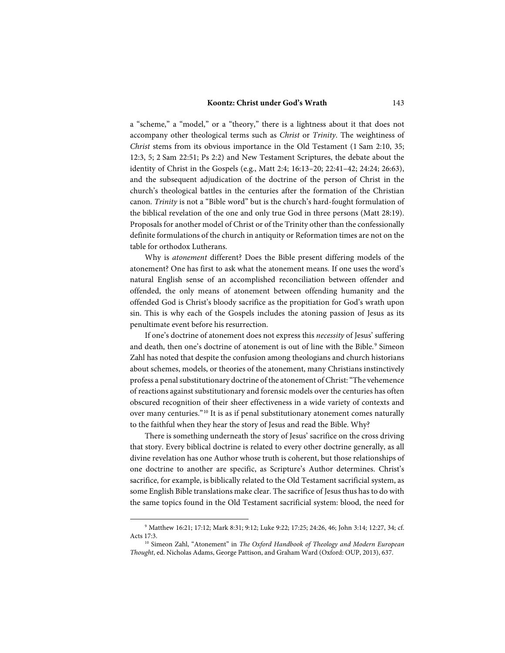### **Koontz: Christ under God's Wrath** 143

a "scheme," a "model," or a "theory," there is a lightness about it that does not accompany other theological terms such as *Christ* or *Trinity*. The weightiness of *Christ* stems from its obvious importance in the Old Testament (1 Sam 2:10, 35; 12:3, 5; 2 Sam 22:51; Ps 2:2) and New Testament Scriptures, the debate about the identity of Christ in the Gospels (e.g., Matt 2:4; 16:13–20; 22:41–42; 24:24; 26:63), and the subsequent adjudication of the doctrine of the person of Christ in the church's theological battles in the centuries after the formation of the Christian canon. *Trinity* is not a "Bible word" but is the church's hard-fought formulation of the biblical revelation of the one and only true God in three persons (Matt 28:19). Proposals for another model of Christ or of the Trinity other than the confessionally definite formulations of the church in antiquity or Reformation times are not on the table for orthodox Lutherans.

Why is *atonement* different? Does the Bible present differing models of the atonement? One has first to ask what the atonement means. If one uses the word's natural English sense of an accomplished reconciliation between offender and offended, the only means of atonement between offending humanity and the offended God is Christ's bloody sacrifice as the propitiation for God's wrath upon sin. This is why each of the Gospels includes the atoning passion of Jesus as its penultimate event before his resurrection.

If one's doctrine of atonement does not express this *necessity* of Jesus' suffering and death, then one's doctrine of atonement is out of line with the Bible.<sup>[9](#page-2-0)</sup> Simeon Zahl has noted that despite the confusion among theologians and church historians about schemes, models, or theories of the atonement, many Christians instinctively profess a penal substitutionary doctrine of the atonement of Christ: "The vehemence of reactions against substitutionary and forensic models over the centuries has often obscured recognition of their sheer effectiveness in a wide variety of contexts and over many centuries."[10](#page-2-1) It is as if penal substitutionary atonement comes naturally to the faithful when they hear the story of Jesus and read the Bible. Why?

There is something underneath the story of Jesus' sacrifice on the cross driving that story. Every biblical doctrine is related to every other doctrine generally, as all divine revelation has one Author whose truth is coherent, but those relationships of one doctrine to another are specific, as Scripture's Author determines. Christ's sacrifice, for example, is biblically related to the Old Testament sacrificial system, as some English Bible translations make clear. The sacrifice of Jesus thus has to do with the same topics found in the Old Testament sacrificial system: blood, the need for

<span id="page-2-0"></span><sup>9</sup> Matthew 16:21; 17:12; Mark 8:31; 9:12; Luke 9:22; 17:25; 24:26, 46; John 3:14; 12:27, 34; cf. Acts 17:3.

<span id="page-2-1"></span><sup>&</sup>lt;sup>10</sup> Simeon Zahl, "Atonement" in *The Oxford Handbook of Theology and Modern European Thought*, ed. Nicholas Adams, George Pattison, and Graham Ward (Oxford: OUP, 2013), 637.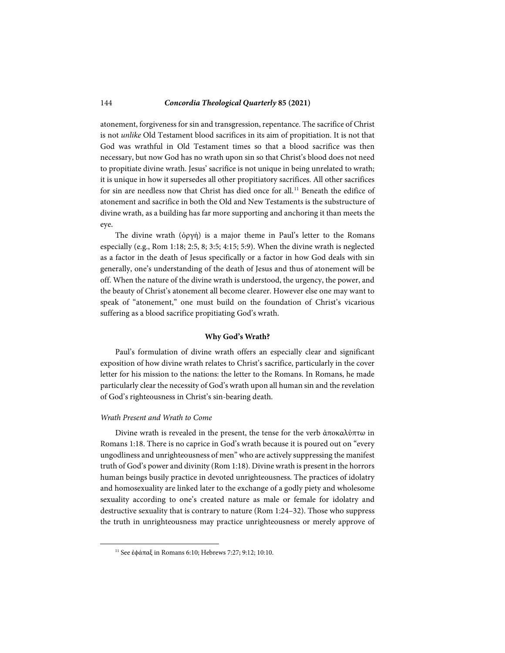atonement, forgiveness for sin and transgression, repentance. The sacrifice of Christ is not *unlike* Old Testament blood sacrifices in its aim of propitiation. It is not that God was wrathful in Old Testament times so that a blood sacrifice was then necessary, but now God has no wrath upon sin so that Christ's blood does not need to propitiate divine wrath. Jesus' sacrifice is not unique in being unrelated to wrath; it is unique in how it supersedes all other propitiatory sacrifices. All other sacrifices for sin are needless now that Christ has died once for all.<sup>[11](#page-3-0)</sup> Beneath the edifice of atonement and sacrifice in both the Old and New Testaments is the substructure of divine wrath, as a building has far more supporting and anchoring it than meets the eye.

The divine wrath  $(\phi \rho \gamma \eta)$  is a major theme in Paul's letter to the Romans especially (e.g., Rom 1:18; 2:5, 8; 3:5; 4:15; 5:9). When the divine wrath is neglected as a factor in the death of Jesus specifically or a factor in how God deals with sin generally, one's understanding of the death of Jesus and thus of atonement will be off. When the nature of the divine wrath is understood, the urgency, the power, and the beauty of Christ's atonement all become clearer. However else one may want to speak of "atonement," one must build on the foundation of Christ's vicarious suffering as a blood sacrifice propitiating God's wrath.

#### **Why God's Wrath?**

Paul's formulation of divine wrath offers an especially clear and significant exposition of how divine wrath relates to Christ's sacrifice, particularly in the cover letter for his mission to the nations: the letter to the Romans. In Romans, he made particularly clear the necessity of God's wrath upon all human sin and the revelation of God's righteousness in Christ's sin-bearing death.

# *Wrath Present and Wrath to Come*

<span id="page-3-0"></span>-

Divine wrath is revealed in the present, the tense for the verb ἀποκαλὐπτω in Romans 1:18. There is no caprice in God's wrath because it is poured out on "every ungodliness and unrighteousness of men" who are actively suppressing the manifest truth of God's power and divinity (Rom 1:18). Divine wrath is present in the horrors human beings busily practice in devoted unrighteousness. The practices of idolatry and homosexuality are linked later to the exchange of a godly piety and wholesome sexuality according to one's created nature as male or female for idolatry and destructive sexuality that is contrary to nature (Rom 1:24–32). Those who suppress the truth in unrighteousness may practice unrighteousness or merely approve of

<sup>11</sup> See ἐϕάπαξ in Romans 6:10; Hebrews 7:27; 9:12; 10:10.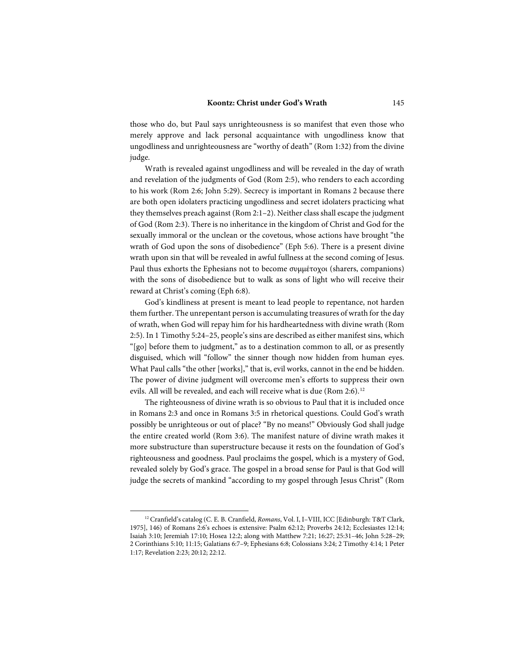those who do, but Paul says unrighteousness is so manifest that even those who merely approve and lack personal acquaintance with ungodliness know that ungodliness and unrighteousness are "worthy of death" (Rom 1:32) from the divine judge.

Wrath is revealed against ungodliness and will be revealed in the day of wrath and revelation of the judgments of God (Rom 2:5), who renders to each according to his work (Rom 2:6; John 5:29). Secrecy is important in Romans 2 because there are both open idolaters practicing ungodliness and secret idolaters practicing what they themselves preach against (Rom 2:1–2). Neither class shall escape the judgment of God (Rom 2:3). There is no inheritance in the kingdom of Christ and God for the sexually immoral or the unclean or the covetous, whose actions have brought "the wrath of God upon the sons of disobedience" (Eph 5:6). There is a present divine wrath upon sin that will be revealed in awful fullness at the second coming of Jesus. Paul thus exhorts the Ephesians not to become συμμέτοχοι (sharers, companions) with the sons of disobedience but to walk as sons of light who will receive their reward at Christ's coming (Eph 6:8).

God's kindliness at present is meant to lead people to repentance, not harden them further. The unrepentant person is accumulating treasures of wrath for the day of wrath, when God will repay him for his hardheartedness with divine wrath (Rom 2:5). In 1 Timothy 5:24–25, people's sins are described as either manifest sins, which "[go] before them to judgment," as to a destination common to all, or as presently disguised, which will "follow" the sinner though now hidden from human eyes. What Paul calls "the other [works]," that is, evil works, cannot in the end be hidden. The power of divine judgment will overcome men's efforts to suppress their own evils. All will be revealed, and each will receive what is due (Rom 2:6).<sup>[12](#page-4-0)</sup>

The righteousness of divine wrath is so obvious to Paul that it is included once in Romans 2:3 and once in Romans 3:5 in rhetorical questions. Could God's wrath possibly be unrighteous or out of place? "By no means!" Obviously God shall judge the entire created world (Rom 3:6). The manifest nature of divine wrath makes it more substructure than superstructure because it rests on the foundation of God's righteousness and goodness. Paul proclaims the gospel, which is a mystery of God, revealed solely by God's grace. The gospel in a broad sense for Paul is that God will judge the secrets of mankind "according to my gospel through Jesus Christ" (Rom

<span id="page-4-0"></span><sup>12</sup> Cranfield's catalog (C. E. B. Cranfield, *Romans*, Vol. I, I–VIII, ICC [Edinburgh: T&T Clark, 1975], 146) of Romans 2:6's echoes is extensive: Psalm 62:12; Proverbs 24:12; Ecclesiastes 12:14; Isaiah 3:10; Jeremiah 17:10; Hosea 12:2; along with Matthew 7:21; 16:27; 25:31–46; John 5:28–29; 2 Corinthians 5:10; 11:15; Galatians 6:7–9; Ephesians 6:8; Colossians 3:24; 2 Timothy 4:14; 1 Peter 1:17; Revelation 2:23; 20:12; 22:12.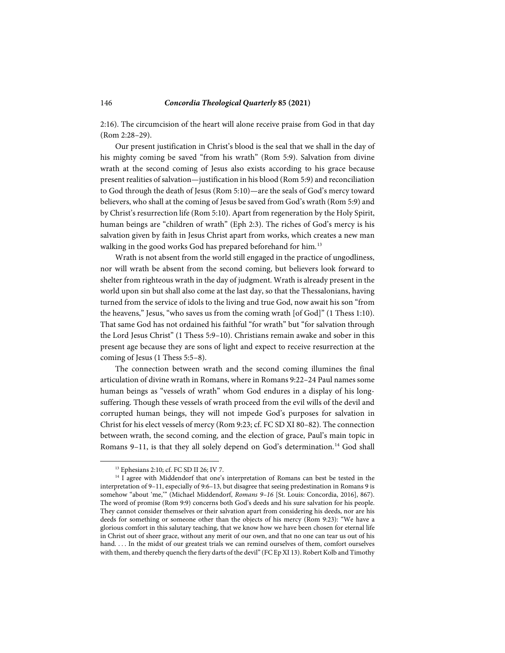2:16). The circumcision of the heart will alone receive praise from God in that day (Rom 2:28–29).

Our present justification in Christ's blood is the seal that we shall in the day of his mighty coming be saved "from his wrath" (Rom 5:9). Salvation from divine wrath at the second coming of Jesus also exists according to his grace because present realities of salvation—justification in his blood (Rom 5:9) and reconciliation to God through the death of Jesus (Rom 5:10)—are the seals of God's mercy toward believers, who shall at the coming of Jesus be saved from God's wrath (Rom 5:9) and by Christ's resurrection life (Rom 5:10). Apart from regeneration by the Holy Spirit, human beings are "children of wrath" (Eph 2:3). The riches of God's mercy is his salvation given by faith in Jesus Christ apart from works, which creates a new man walking in the good works God has prepared beforehand for him.<sup>[13](#page-5-0)</sup>

Wrath is not absent from the world still engaged in the practice of ungodliness, nor will wrath be absent from the second coming, but believers look forward to shelter from righteous wrath in the day of judgment. Wrath is already present in the world upon sin but shall also come at the last day, so that the Thessalonians, having turned from the service of idols to the living and true God, now await his son "from the heavens," Jesus, "who saves us from the coming wrath [of God]" (1 Thess 1:10). That same God has not ordained his faithful "for wrath" but "for salvation through the Lord Jesus Christ" (1 Thess 5:9–10). Christians remain awake and sober in this present age because they are sons of light and expect to receive resurrection at the coming of Jesus (1 Thess 5:5–8).

The connection between wrath and the second coming illumines the final articulation of divine wrath in Romans, where in Romans 9:22–24 Paul names some human beings as "vessels of wrath" whom God endures in a display of his longsuffering. Though these vessels of wrath proceed from the evil wills of the devil and corrupted human beings, they will not impede God's purposes for salvation in Christ for his elect vessels of mercy (Rom 9:23; cf. FC SD XI 80–82). The connection between wrath, the second coming, and the election of grace, Paul's main topic in Romans 9-11, is that they all solely depend on God's determination.<sup>[14](#page-5-1)</sup> God shall

<sup>13</sup> Ephesians 2:10; cf. FC SD II 26; IV 7.

<span id="page-5-1"></span><span id="page-5-0"></span><sup>&</sup>lt;sup>14</sup> I agree with Middendorf that one's interpretation of Romans can best be tested in the interpretation of 9–11, especially of 9:6–13, but disagree that seeing predestination in Romans 9 is somehow "about 'me,'" (Michael Middendorf, *Romans 9–16* [St. Louis: Concordia, 2016], 867). The word of promise (Rom 9:9) concerns both God's deeds and his sure salvation for his people. They cannot consider themselves or their salvation apart from considering his deeds, nor are his deeds for something or someone other than the objects of his mercy (Rom 9:23): "We have a glorious comfort in this salutary teaching, that we know how we have been chosen for eternal life in Christ out of sheer grace, without any merit of our own, and that no one can tear us out of his hand. . . . In the midst of our greatest trials we can remind ourselves of them, comfort ourselves with them, and thereby quench the fiery darts of the devil" (FC Ep XI 13). Robert Kolb and Timothy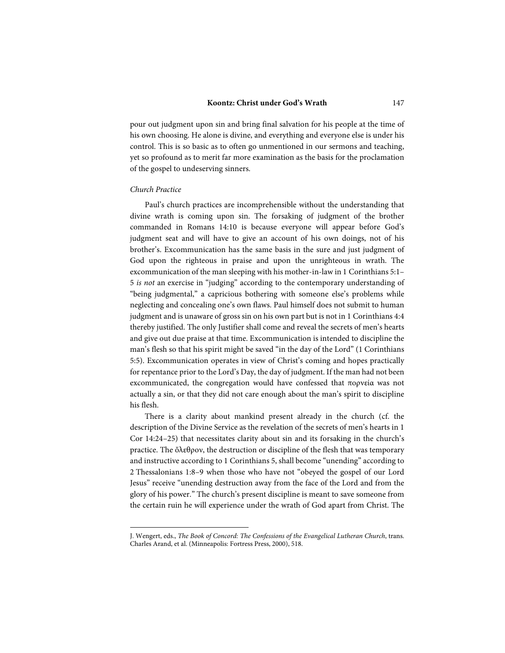#### **Koontz: Christ under God's Wrath** 147

pour out judgment upon sin and bring final salvation for his people at the time of his own choosing. He alone is divine, and everything and everyone else is under his control. This is so basic as to often go unmentioned in our sermons and teaching, yet so profound as to merit far more examination as the basis for the proclamation of the gospel to undeserving sinners.

# *Church Practice*

l

Paul's church practices are incomprehensible without the understanding that divine wrath is coming upon sin. The forsaking of judgment of the brother commanded in Romans 14:10 is because everyone will appear before God's judgment seat and will have to give an account of his own doings, not of his brother's. Excommunication has the same basis in the sure and just judgment of God upon the righteous in praise and upon the unrighteous in wrath. The excommunication of the man sleeping with his mother-in-law in 1 Corinthians 5:1– 5 *is not* an exercise in "judging" according to the contemporary understanding of "being judgmental," a capricious bothering with someone else's problems while neglecting and concealing one's own flaws. Paul himself does not submit to human judgment and is unaware of gross sin on his own part but is not in 1 Corinthians 4:4 thereby justified. The only Justifier shall come and reveal the secrets of men's hearts and give out due praise at that time. Excommunication is intended to discipline the man's flesh so that his spirit might be saved "in the day of the Lord" (1 Corinthians 5:5). Excommunication operates in view of Christ's coming and hopes practically for repentance prior to the Lord's Day, the day of judgment. If the man had not been excommunicated, the congregation would have confessed that πορνεία was not actually a sin, or that they did not care enough about the man's spirit to discipline his flesh.

There is a clarity about mankind present already in the church (cf. the description of the Divine Service as the revelation of the secrets of men's hearts in 1 Cor 14:24–25) that necessitates clarity about sin and its forsaking in the church's practice. The ὄλεθρον, the destruction or discipline of the flesh that was temporary and instructive according to 1 Corinthians 5, shall become "unending" according to 2 Thessalonians 1:8–9 when those who have not "obeyed the gospel of our Lord Jesus" receive "unending destruction away from the face of the Lord and from the glory of his power." The church's present discipline is meant to save someone from the certain ruin he will experience under the wrath of God apart from Christ. The

J. Wengert, eds., *The Book of Concord: The Confessions of the Evangelical Lutheran Church*, trans. Charles Arand, et al. (Minneapolis: Fortress Press, 2000), 518.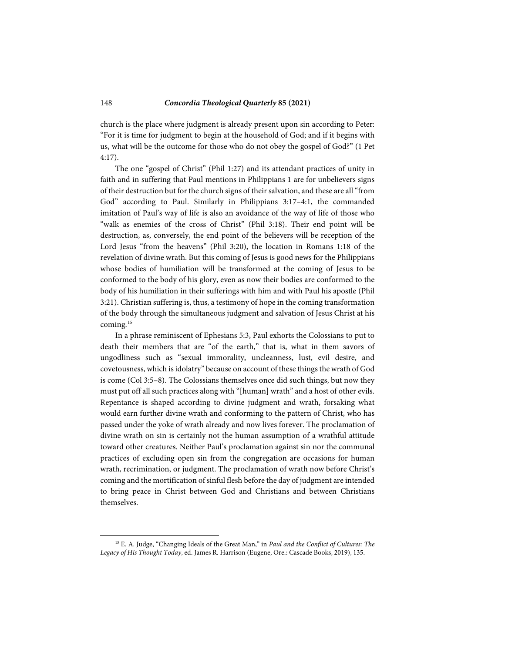church is the place where judgment is already present upon sin according to Peter: "For it is time for judgment to begin at the household of God; and if it begins with us, what will be the outcome for those who do not obey the gospel of God?" (1 Pet 4:17).

The one "gospel of Christ" (Phil 1:27) and its attendant practices of unity in faith and in suffering that Paul mentions in Philippians 1 are for unbelievers signs of their destruction but for the church signs of their salvation, and these are all "from God" according to Paul. Similarly in Philippians 3:17–4:1, the commanded imitation of Paul's way of life is also an avoidance of the way of life of those who "walk as enemies of the cross of Christ" (Phil 3:18). Their end point will be destruction, as, conversely, the end point of the believers will be reception of the Lord Jesus "from the heavens" (Phil 3:20), the location in Romans 1:18 of the revelation of divine wrath. But this coming of Jesus is good news for the Philippians whose bodies of humiliation will be transformed at the coming of Jesus to be conformed to the body of his glory, even as now their bodies are conformed to the body of his humiliation in their sufferings with him and with Paul his apostle (Phil 3:21). Christian suffering is, thus, a testimony of hope in the coming transformation of the body through the simultaneous judgment and salvation of Jesus Christ at his coming.[15](#page-7-0)

In a phrase reminiscent of Ephesians 5:3, Paul exhorts the Colossians to put to death their members that are "of the earth," that is, what in them savors of ungodliness such as "sexual immorality, uncleanness, lust, evil desire, and covetousness, which is idolatry" because on account of these things the wrath of God is come (Col 3:5–8). The Colossians themselves once did such things, but now they must put off all such practices along with "[human] wrath" and a host of other evils. Repentance is shaped according to divine judgment and wrath, forsaking what would earn further divine wrath and conforming to the pattern of Christ, who has passed under the yoke of wrath already and now lives forever. The proclamation of divine wrath on sin is certainly not the human assumption of a wrathful attitude toward other creatures. Neither Paul's proclamation against sin nor the communal practices of excluding open sin from the congregation are occasions for human wrath, recrimination, or judgment. The proclamation of wrath now before Christ's coming and the mortification of sinful flesh before the day of judgment are intended to bring peace in Christ between God and Christians and between Christians themselves.

<span id="page-7-0"></span><sup>15</sup> E. A. Judge, "Changing Ideals of the Great Man," in *Paul and the Conflict of Cultures: The Legacy of His Thought Today*, ed. James R. Harrison (Eugene, Ore.: Cascade Books, 2019), 135.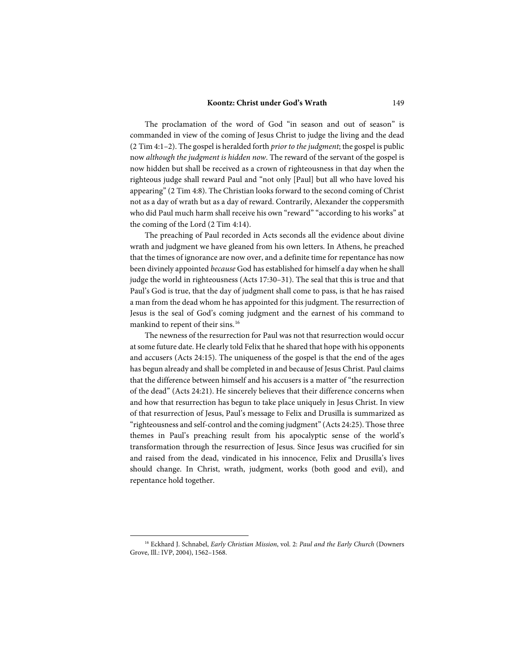### **Koontz: Christ under God's Wrath** 149

The proclamation of the word of God "in season and out of season" is commanded in view of the coming of Jesus Christ to judge the living and the dead (2 Tim 4:1–2). The gospel is heralded forth *prior to the judgment*; the gospel is public now *although the judgment is hidden now*. The reward of the servant of the gospel is now hidden but shall be received as a crown of righteousness in that day when the righteous judge shall reward Paul and "not only [Paul] but all who have loved his appearing" (2 Tim 4:8). The Christian looks forward to the second coming of Christ not as a day of wrath but as a day of reward. Contrarily, Alexander the coppersmith who did Paul much harm shall receive his own "reward" "according to his works" at the coming of the Lord (2 Tim 4:14).

The preaching of Paul recorded in Acts seconds all the evidence about divine wrath and judgment we have gleaned from his own letters. In Athens, he preached that the times of ignorance are now over, and a definite time for repentance has now been divinely appointed *because* God has established for himself a day when he shall judge the world in righteousness (Acts 17:30–31). The seal that this is true and that Paul's God is true, that the day of judgment shall come to pass, is that he has raised a man from the dead whom he has appointed for this judgment. The resurrection of Jesus is the seal of God's coming judgment and the earnest of his command to mankind to repent of their sins.<sup>[16](#page-8-0)</sup>

The newness of the resurrection for Paul was not that resurrection would occur at some future date. He clearly told Felix that he shared that hope with his opponents and accusers (Acts 24:15). The uniqueness of the gospel is that the end of the ages has begun already and shall be completed in and because of Jesus Christ. Paul claims that the difference between himself and his accusers is a matter of "the resurrection of the dead" (Acts 24:21). He sincerely believes that their difference concerns when and how that resurrection has begun to take place uniquely in Jesus Christ. In view of that resurrection of Jesus, Paul's message to Felix and Drusilla is summarized as "righteousness and self-control and the coming judgment" (Acts 24:25). Those three themes in Paul's preaching result from his apocalyptic sense of the world's transformation through the resurrection of Jesus. Since Jesus was crucified for sin and raised from the dead, vindicated in his innocence, Felix and Drusilla's lives should change. In Christ, wrath, judgment, works (both good and evil), and repentance hold together.

<span id="page-8-0"></span><sup>16</sup> Eckhard J. Schnabel, *Early Christian Mission*, vol. 2: *Paul and the Early Church* (Downers Grove, Ill.: IVP, 2004), 1562–1568.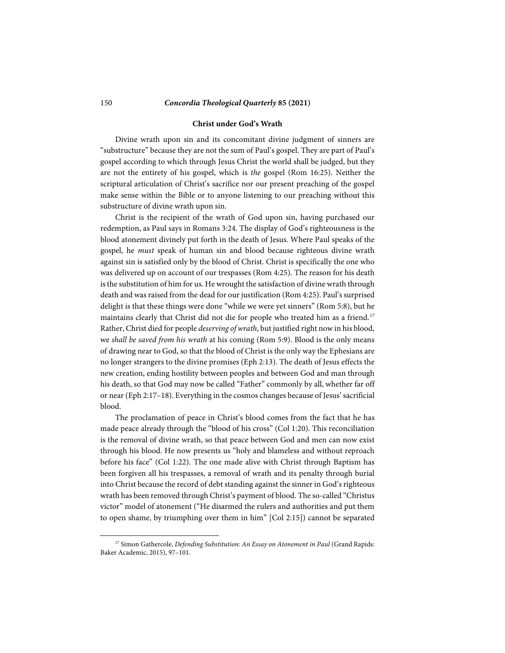#### **Christ under God's Wrath**

Divine wrath upon sin and its concomitant divine judgment of sinners are "substructure" because they are not the sum of Paul's gospel. They are part of Paul's gospel according to which through Jesus Christ the world shall be judged, but they are not the entirety of his gospel, which is *the* gospel (Rom 16:25). Neither the scriptural articulation of Christ's sacrifice nor our present preaching of the gospel make sense within the Bible or to anyone listening to our preaching without this substructure of divine wrath upon sin.

Christ is the recipient of the wrath of God upon sin, having purchased our redemption, as Paul says in Romans 3:24. The display of God's righteousness is the blood atonement divinely put forth in the death of Jesus. Where Paul speaks of the gospel, he *must* speak of human sin and blood because righteous divine wrath against sin is satisfied only by the blood of Christ. Christ is specifically the one who was delivered up on account of our trespasses (Rom 4:25). The reason for his death is the substitution of him for us. He wrought the satisfaction of divine wrath through death and was raised from the dead for our justification (Rom 4:25). Paul's surprised delight is that these things were done "while we were yet sinners" (Rom 5:8), but he maintains clearly that Christ did not die for people who treated him as a friend.<sup>[17](#page-9-0)</sup> Rather, Christ died for people *deserving of wrath*, but justified right now in his blood, we *shall be saved from his wrath* at his coming (Rom 5:9). Blood is the only means of drawing near to God, so that the blood of Christ is the only way the Ephesians are no longer strangers to the divine promises (Eph 2:13). The death of Jesus effects the new creation, ending hostility between peoples and between God and man through his death, so that God may now be called "Father" commonly by all, whether far off or near (Eph 2:17–18). Everything in the cosmos changes because of Jesus' sacrificial blood.

The proclamation of peace in Christ's blood comes from the fact that he has made peace already through the "blood of his cross" (Col 1:20). This reconciliation is the removal of divine wrath, so that peace between God and men can now exist through his blood. He now presents us "holy and blameless and without reproach before his face" (Col 1:22). The one made alive with Christ through Baptism has been forgiven all his trespasses, a removal of wrath and its penalty through burial into Christ because the record of debt standing against the sinner in God's righteous wrath has been removed through Christ's payment of blood. The so-called "Christus victor" model of atonement ("He disarmed the rulers and authorities and put them to open shame, by triumphing over them in him" [Col 2:15]) cannot be separated

<span id="page-9-0"></span><sup>&</sup>lt;sup>17</sup> Simon Gathercole, *Defending Substitution: An Essay on Atonement in Paul* (Grand Rapids: Baker Academic, 2015), 97–101.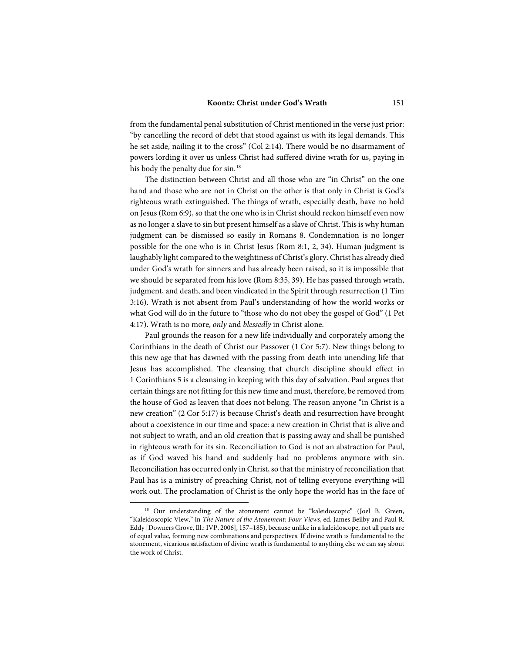from the fundamental penal substitution of Christ mentioned in the verse just prior: "by cancelling the record of debt that stood against us with its legal demands. This he set aside, nailing it to the cross" (Col 2:14). There would be no disarmament of powers lording it over us unless Christ had suffered divine wrath for us, paying in his body the penalty due for sin.<sup>[18](#page-10-0)</sup>

The distinction between Christ and all those who are "in Christ" on the one hand and those who are not in Christ on the other is that only in Christ is God's righteous wrath extinguished. The things of wrath, especially death, have no hold on Jesus (Rom 6:9), so that the one who is in Christ should reckon himself even now as no longer a slave to sin but present himself as a slave of Christ. This is why human judgment can be dismissed so easily in Romans 8. Condemnation is no longer possible for the one who is in Christ Jesus (Rom 8:1, 2, 34). Human judgment is laughably light compared to the weightiness of Christ's glory. Christ has already died under God's wrath for sinners and has already been raised, so it is impossible that we should be separated from his love (Rom 8:35, 39). He has passed through wrath, judgment, and death, and been vindicated in the Spirit through resurrection (1 Tim 3:16). Wrath is not absent from Paul's understanding of how the world works or what God will do in the future to "those who do not obey the gospel of God" (1 Pet 4:17). Wrath is no more, *only* and *blessedly* in Christ alone.

Paul grounds the reason for a new life individually and corporately among the Corinthians in the death of Christ our Passover (1 Cor 5:7). New things belong to this new age that has dawned with the passing from death into unending life that Jesus has accomplished. The cleansing that church discipline should effect in 1 Corinthians 5 is a cleansing in keeping with this day of salvation. Paul argues that certain things are not fitting for this new time and must, therefore, be removed from the house of God as leaven that does not belong. The reason anyone "in Christ is a new creation" (2 Cor 5:17) is because Christ's death and resurrection have brought about a coexistence in our time and space: a new creation in Christ that is alive and not subject to wrath, and an old creation that is passing away and shall be punished in righteous wrath for its sin. Reconciliation to God is not an abstraction for Paul, as if God waved his hand and suddenly had no problems anymore with sin. Reconciliation has occurred only in Christ, so that the ministry of reconciliation that Paul has is a ministry of preaching Christ, not of telling everyone everything will work out. The proclamation of Christ is the only hope the world has in the face of

l

<span id="page-10-0"></span><sup>&</sup>lt;sup>18</sup> Our understanding of the atonement cannot be "kaleidoscopic" (Joel B. Green, "Kaleidoscopic View," in *The Nature of the Atonement: Four Views*, ed. James Beilby and Paul R. Eddy [Downers Grove, Ill.: IVP, 2006], 157–185), because unlike in a kaleidoscope, not all parts are of equal value, forming new combinations and perspectives. If divine wrath is fundamental to the atonement, vicarious satisfaction of divine wrath is fundamental to anything else we can say about the work of Christ.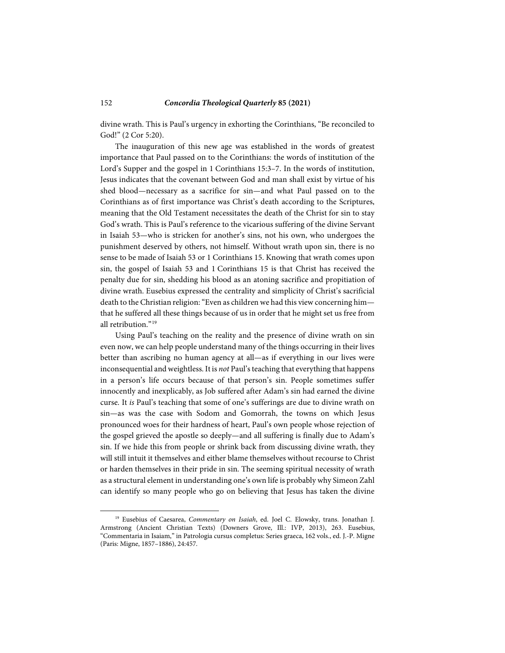divine wrath. This is Paul's urgency in exhorting the Corinthians, "Be reconciled to God!" (2 Cor 5:20).

The inauguration of this new age was established in the words of greatest importance that Paul passed on to the Corinthians: the words of institution of the Lord's Supper and the gospel in 1 Corinthians 15:3–7. In the words of institution, Jesus indicates that the covenant between God and man shall exist by virtue of his shed blood—necessary as a sacrifice for sin—and what Paul passed on to the Corinthians as of first importance was Christ's death according to the Scriptures, meaning that the Old Testament necessitates the death of the Christ for sin to stay God's wrath. This is Paul's reference to the vicarious suffering of the divine Servant in Isaiah 53—who is stricken for another's sins, not his own, who undergoes the punishment deserved by others, not himself. Without wrath upon sin, there is no sense to be made of Isaiah 53 or 1 Corinthians 15. Knowing that wrath comes upon sin, the gospel of Isaiah 53 and 1 Corinthians 15 is that Christ has received the penalty due for sin, shedding his blood as an atoning sacrifice and propitiation of divine wrath. Eusebius expressed the centrality and simplicity of Christ's sacrificial death to the Christian religion: "Even as children we had this view concerning him that he suffered all these things because of us in order that he might set us free from all retribution."[19](#page-11-0)

Using Paul's teaching on the reality and the presence of divine wrath on sin even now, we can help people understand many of the things occurring in their lives better than ascribing no human agency at all—as if everything in our lives were inconsequential and weightless. It is *not* Paul's teaching that everything that happens in a person's life occurs because of that person's sin. People sometimes suffer innocently and inexplicably, as Job suffered after Adam's sin had earned the divine curse. It *is* Paul's teaching that some of one's sufferings are due to divine wrath on sin—as was the case with Sodom and Gomorrah, the towns on which Jesus pronounced woes for their hardness of heart, Paul's own people whose rejection of the gospel grieved the apostle so deeply—and all suffering is finally due to Adam's sin. If we hide this from people or shrink back from discussing divine wrath, they will still intuit it themselves and either blame themselves without recourse to Christ or harden themselves in their pride in sin. The seeming spiritual necessity of wrath as a structural element in understanding one's own life is probably why Simeon Zahl can identify so many people who go on believing that Jesus has taken the divine

<span id="page-11-0"></span><sup>19</sup> Eusebius of Caesarea, *Commentary on Isaiah*, ed. Joel C. Elowsky, trans. Jonathan J. Armstrong (Ancient Christian Texts) (Downers Grove, Ill.: IVP, 2013), 263. Eusebius, "Commentaria in Isaiam," in Patrologia cursus completus: Series graeca, 162 vols., ed. J.-P. Migne (Paris: Migne, 1857–1886), 24:457.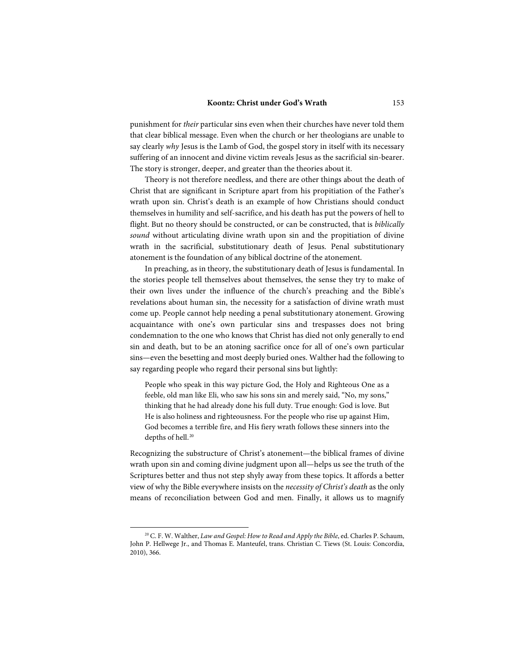punishment for *their* particular sins even when their churches have never told them that clear biblical message. Even when the church or her theologians are unable to say clearly *why* Jesus is the Lamb of God, the gospel story in itself with its necessary suffering of an innocent and divine victim reveals Jesus as the sacrificial sin-bearer. The story is stronger, deeper, and greater than the theories about it.

Theory is not therefore needless, and there are other things about the death of Christ that are significant in Scripture apart from his propitiation of the Father's wrath upon sin. Christ's death is an example of how Christians should conduct themselves in humility and self-sacrifice, and his death has put the powers of hell to flight. But no theory should be constructed, or can be constructed, that is *biblically sound* without articulating divine wrath upon sin and the propitiation of divine wrath in the sacrificial, substitutionary death of Jesus. Penal substitutionary atonement is the foundation of any biblical doctrine of the atonement.

In preaching, as in theory, the substitutionary death of Jesus is fundamental. In the stories people tell themselves about themselves, the sense they try to make of their own lives under the influence of the church's preaching and the Bible's revelations about human sin, the necessity for a satisfaction of divine wrath must come up. People cannot help needing a penal substitutionary atonement. Growing acquaintance with one's own particular sins and trespasses does not bring condemnation to the one who knows that Christ has died not only generally to end sin and death, but to be an atoning sacrifice once for all of one's own particular sins—even the besetting and most deeply buried ones. Walther had the following to say regarding people who regard their personal sins but lightly:

People who speak in this way picture God, the Holy and Righteous One as a feeble, old man like Eli, who saw his sons sin and merely said, "No, my sons," thinking that he had already done his full duty. True enough: God is love. But He is also holiness and righteousness. For the people who rise up against Him, God becomes a terrible fire, and His fiery wrath follows these sinners into the depths of hell.<sup>[20](#page-12-0)</sup>

Recognizing the substructure of Christ's atonement—the biblical frames of divine wrath upon sin and coming divine judgment upon all—helps us see the truth of the Scriptures better and thus not step shyly away from these topics. It affords a better view of why the Bible everywhere insists on the *necessity of Christ's death* as the only means of reconciliation between God and men. Finally, it allows us to magnify

l

<span id="page-12-0"></span><sup>20</sup> C. F. W. Walther, *Law and Gospel: How to Read and Apply the Bible*, ed. Charles P. Schaum, John P. Hellwege Jr., and Thomas E. Manteufel, trans. Christian C. Tiews (St. Louis: Concordia, 2010), 366.